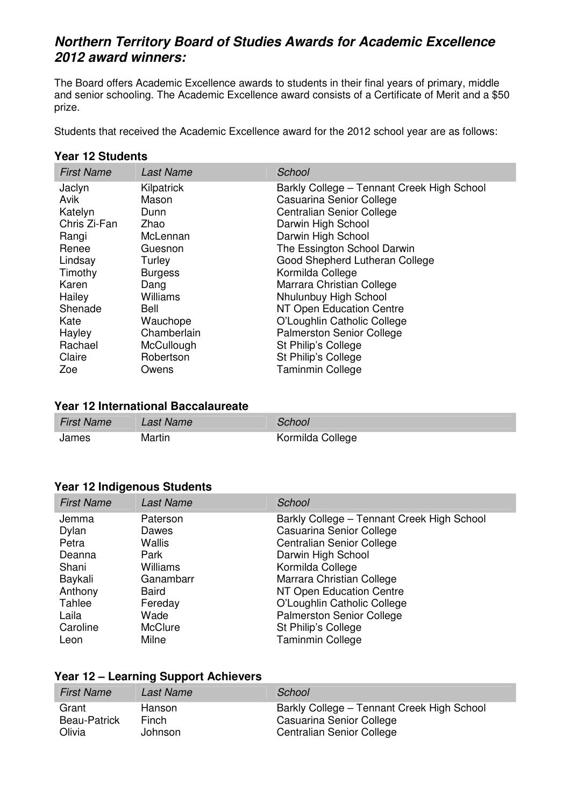# **Northern Territory Board of Studies Awards for Academic Excellence 2012 award winners:**

The Board offers Academic Excellence awards to students in their final years of primary, middle and senior schooling. The Academic Excellence award consists of a Certificate of Merit and a \$50 prize.

Students that received the Academic Excellence award for the 2012 school year are as follows:

#### **Year 12 Students**

| <b>First Name</b> | <b>Last Name</b> | School                                     |
|-------------------|------------------|--------------------------------------------|
| Jaclyn            | Kilpatrick       | Barkly College - Tennant Creek High School |
| Avik              | Mason            | Casuarina Senior College                   |
| Katelyn           | Dunn             | <b>Centralian Senior College</b>           |
| Chris Zi-Fan      | Zhao             | Darwin High School                         |
| Rangi             | McLennan         | Darwin High School                         |
| Renee             | Guesnon          | The Essington School Darwin                |
| Lindsay           | Turley           | Good Shepherd Lutheran College             |
| Timothy           | <b>Burgess</b>   | Kormilda College                           |
| Karen             | Dang             | Marrara Christian College                  |
| Hailey            | Williams         | Nhulunbuy High School                      |
| Shenade           | Bell             | NT Open Education Centre                   |
| Kate              | Wauchope         | O'Loughlin Catholic College                |
| Hayley            | Chamberlain      | <b>Palmerston Senior College</b>           |
| Rachael           | McCullough       | St Philip's College                        |
| Claire            | Robertson        | St Philip's College                        |
| Zoe               | Owens            | Taminmin College                           |

#### **Year 12 International Baccalaureate**

| <b>First Name</b> | Last Name | School           |
|-------------------|-----------|------------------|
| James             | Martin    | Kormilda College |

#### **Year 12 Indigenous Students**

| <b>First Name</b> | <b>Last Name</b> | School                                     |
|-------------------|------------------|--------------------------------------------|
| Jemma             | Paterson         | Barkly College - Tennant Creek High School |
| Dylan             | Dawes            | Casuarina Senior College                   |
| Petra             | Wallis           | <b>Centralian Senior College</b>           |
| Deanna            | Park             | Darwin High School                         |
| Shani             | Williams         | Kormilda College                           |
| Baykali           | Ganambarr        | Marrara Christian College                  |
| Anthony           | <b>Baird</b>     | NT Open Education Centre                   |
| Tahlee            | Fereday          | O'Loughlin Catholic College                |
| Laila             | Wade             | <b>Palmerston Senior College</b>           |
| Caroline          | <b>McClure</b>   | St Philip's College                        |
| Leon              | Milne            | Taminmin College                           |

### **Year 12 – Learning Support Achievers**

| <b>First Name</b>   | Last Name | School                                     |
|---------------------|-----------|--------------------------------------------|
| Grant               | Hanson    | Barkly College - Tennant Creek High School |
| <b>Beau-Patrick</b> | Finch     | Casuarina Senior College                   |
| Olivia              | Johnson   | Centralian Senior College                  |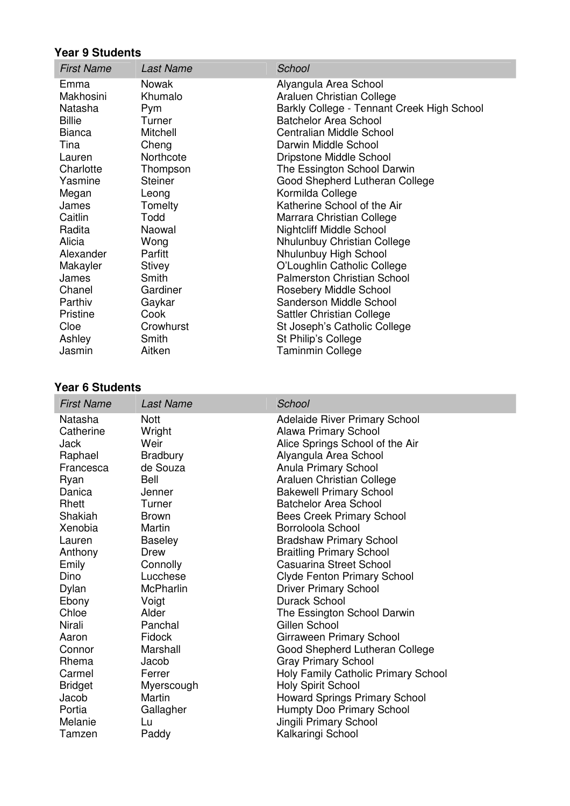## **Year 9 Students**

| <b>First Name</b> | <b>Last Name</b> | School                                     |
|-------------------|------------------|--------------------------------------------|
| Emma              | <b>Nowak</b>     | Alyangula Area School                      |
| Makhosini         | Khumalo          | Araluen Christian College                  |
| Natasha           | Pym              | Barkly College - Tennant Creek High School |
| <b>Billie</b>     | Turner           | <b>Batchelor Area School</b>               |
| <b>Bianca</b>     | Mitchell         | Centralian Middle School                   |
| Tina              | Cheng            | Darwin Middle School                       |
| Lauren            | Northcote        | Dripstone Middle School                    |
| Charlotte         | Thompson         | The Essington School Darwin                |
| Yasmine           | <b>Steiner</b>   | Good Shepherd Lutheran College             |
| Megan             | Leong            | Kormilda College                           |
| James             | Tomelty          | Katherine School of the Air                |
| Caitlin           | Todd             | Marrara Christian College                  |
| Radita            | Naowal           | <b>Nightcliff Middle School</b>            |
| Alicia            | Wong             | Nhulunbuy Christian College                |
| Alexander         | Parfitt          | Nhulunbuy High School                      |
| Makayler          | <b>Stivey</b>    | O'Loughlin Catholic College                |
| James             | Smith            | Palmerston Christian School                |
| Chanel            | Gardiner         | Rosebery Middle School                     |
| Parthiv           | Gaykar           | Sanderson Middle School                    |
| Pristine          | Cook             | Sattler Christian College                  |
| Cloe              | Crowhurst        | St Joseph's Catholic College               |
| Ashley            | Smith            | St Philip's College                        |
| Jasmin            | Aitken           | Taminmin College                           |

### **Year 6 Students**

| <b>First Name</b> | <b>Last Name</b> | School                               |
|-------------------|------------------|--------------------------------------|
| Natasha           | <b>Nott</b>      | <b>Adelaide River Primary School</b> |
| Catherine         | Wright           | Alawa Primary School                 |
| Jack              | Weir             | Alice Springs School of the Air      |
| Raphael           | <b>Bradbury</b>  | Alyangula Area School                |
| Francesca         | de Souza         | Anula Primary School                 |
| Ryan              | <b>Bell</b>      | Araluen Christian College            |
| Danica            | Jenner           | <b>Bakewell Primary School</b>       |
| Rhett             | Turner           | <b>Batchelor Area School</b>         |
| Shakiah           | <b>Brown</b>     | <b>Bees Creek Primary School</b>     |
| Xenobia           | Martin           | Borroloola School                    |
| Lauren            | <b>Baseley</b>   | <b>Bradshaw Primary School</b>       |
| Anthony           | Drew             | <b>Braitling Primary School</b>      |
| Emily             | Connolly         | <b>Casuarina Street School</b>       |
| Dino              | Lucchese         | <b>Clyde Fenton Primary School</b>   |
| Dylan             | <b>McPharlin</b> | <b>Driver Primary School</b>         |
| Ebony             | Voigt            | Durack School                        |
| Chloe             | Alder            | The Essington School Darwin          |
| Nirali            | Panchal          | Gillen School                        |
| Aaron             | <b>Fidock</b>    | Girraween Primary School             |
| Connor            | Marshall         | Good Shepherd Lutheran College       |
| Rhema             | Jacob            | <b>Gray Primary School</b>           |
| Carmel            | Ferrer           | Holy Family Catholic Primary School  |
| <b>Bridget</b>    | Myerscough       | <b>Holy Spirit School</b>            |
| Jacob             | Martin           | <b>Howard Springs Primary School</b> |
| Portia            | Gallagher        | Humpty Doo Primary School            |
| Melanie           | Lu               | Jingili Primary School               |
| Tamzen            | Paddy            | Kalkaringi School                    |